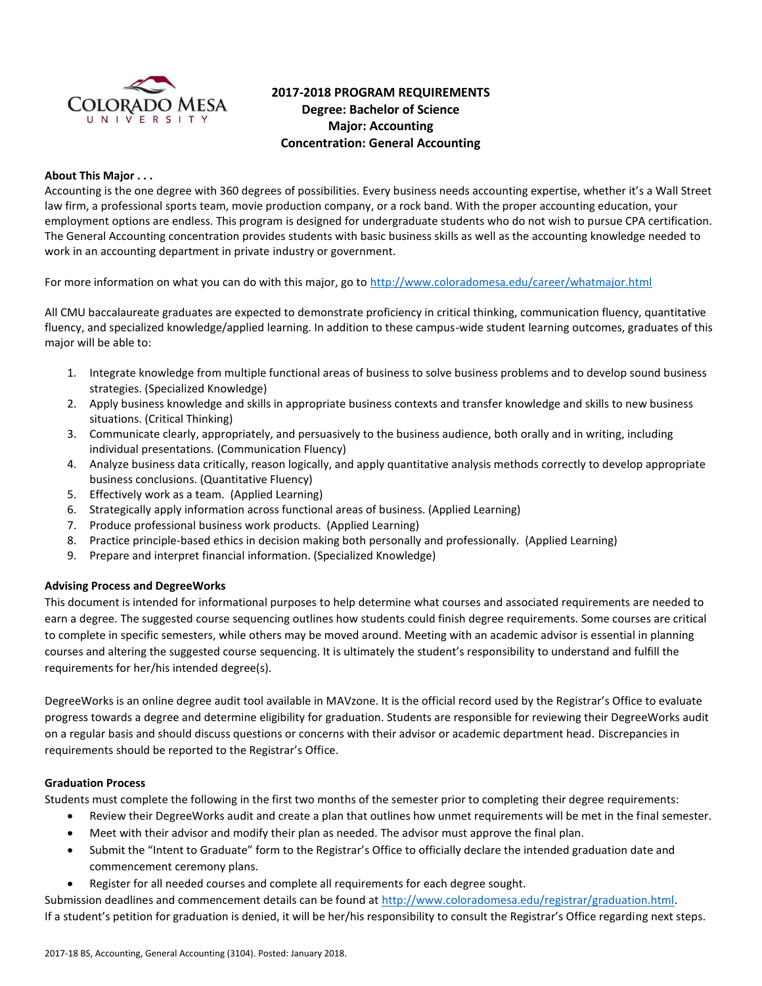

# **2017-2018 PROGRAM REQUIREMENTS Degree: Bachelor of Science Major: Accounting Concentration: General Accounting**

### **About This Major . . .**

Accounting is the one degree with 360 degrees of possibilities. Every business needs accounting expertise, whether it's a Wall Street law firm, a professional sports team, movie production company, or a rock band. With the proper accounting education, your employment options are endless. This program is designed for undergraduate students who do not wish to pursue CPA certification. The General Accounting concentration provides students with basic business skills as well as the accounting knowledge needed to work in an accounting department in private industry or government.

For more information on what you can do with this major, go to<http://www.coloradomesa.edu/career/whatmajor.html>

All CMU baccalaureate graduates are expected to demonstrate proficiency in critical thinking, communication fluency, quantitative fluency, and specialized knowledge/applied learning. In addition to these campus-wide student learning outcomes, graduates of this major will be able to:

- 1. Integrate knowledge from multiple functional areas of business to solve business problems and to develop sound business strategies. (Specialized Knowledge)
- 2. Apply business knowledge and skills in appropriate business contexts and transfer knowledge and skills to new business situations. (Critical Thinking)
- 3. Communicate clearly, appropriately, and persuasively to the business audience, both orally and in writing, including individual presentations. (Communication Fluency)
- 4. Analyze business data critically, reason logically, and apply quantitative analysis methods correctly to develop appropriate business conclusions. (Quantitative Fluency)
- 5. Effectively work as a team. (Applied Learning)
- 6. Strategically apply information across functional areas of business. (Applied Learning)
- 7. Produce professional business work products. (Applied Learning)
- 8. Practice principle-based ethics in decision making both personally and professionally. (Applied Learning)
- 9. Prepare and interpret financial information. (Specialized Knowledge)

#### **Advising Process and DegreeWorks**

This document is intended for informational purposes to help determine what courses and associated requirements are needed to earn a degree. The suggested course sequencing outlines how students could finish degree requirements. Some courses are critical to complete in specific semesters, while others may be moved around. Meeting with an academic advisor is essential in planning courses and altering the suggested course sequencing. It is ultimately the student's responsibility to understand and fulfill the requirements for her/his intended degree(s).

DegreeWorks is an online degree audit tool available in MAVzone. It is the official record used by the Registrar's Office to evaluate progress towards a degree and determine eligibility for graduation. Students are responsible for reviewing their DegreeWorks audit on a regular basis and should discuss questions or concerns with their advisor or academic department head. Discrepancies in requirements should be reported to the Registrar's Office.

#### **Graduation Process**

Students must complete the following in the first two months of the semester prior to completing their degree requirements:

- Review their DegreeWorks audit and create a plan that outlines how unmet requirements will be met in the final semester.
- Meet with their advisor and modify their plan as needed. The advisor must approve the final plan.
- Submit the "Intent to Graduate" form to the Registrar's Office to officially declare the intended graduation date and commencement ceremony plans.
- Register for all needed courses and complete all requirements for each degree sought.

Submission deadlines and commencement details can be found at [http://www.coloradomesa.edu/registrar/graduation.html.](http://www.coloradomesa.edu/registrar/graduation.html) If a student's petition for graduation is denied, it will be her/his responsibility to consult the Registrar's Office regarding next steps.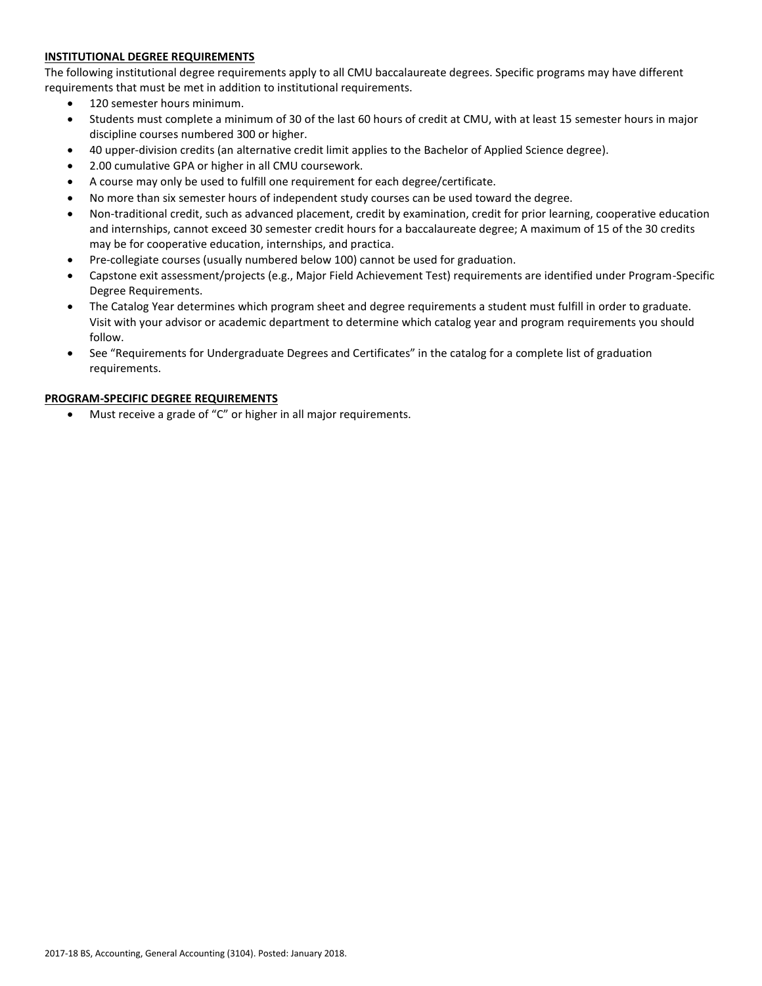# **INSTITUTIONAL DEGREE REQUIREMENTS**

The following institutional degree requirements apply to all CMU baccalaureate degrees. Specific programs may have different requirements that must be met in addition to institutional requirements.

- 120 semester hours minimum.
- Students must complete a minimum of 30 of the last 60 hours of credit at CMU, with at least 15 semester hours in major discipline courses numbered 300 or higher.
- 40 upper-division credits (an alternative credit limit applies to the Bachelor of Applied Science degree).
- 2.00 cumulative GPA or higher in all CMU coursework.
- A course may only be used to fulfill one requirement for each degree/certificate.
- No more than six semester hours of independent study courses can be used toward the degree.
- Non-traditional credit, such as advanced placement, credit by examination, credit for prior learning, cooperative education and internships, cannot exceed 30 semester credit hours for a baccalaureate degree; A maximum of 15 of the 30 credits may be for cooperative education, internships, and practica.
- Pre-collegiate courses (usually numbered below 100) cannot be used for graduation.
- Capstone exit assessment/projects (e.g., Major Field Achievement Test) requirements are identified under Program-Specific Degree Requirements.
- The Catalog Year determines which program sheet and degree requirements a student must fulfill in order to graduate. Visit with your advisor or academic department to determine which catalog year and program requirements you should follow.
- See "Requirements for Undergraduate Degrees and Certificates" in the catalog for a complete list of graduation requirements.

# **PROGRAM-SPECIFIC DEGREE REQUIREMENTS**

Must receive a grade of "C" or higher in all major requirements.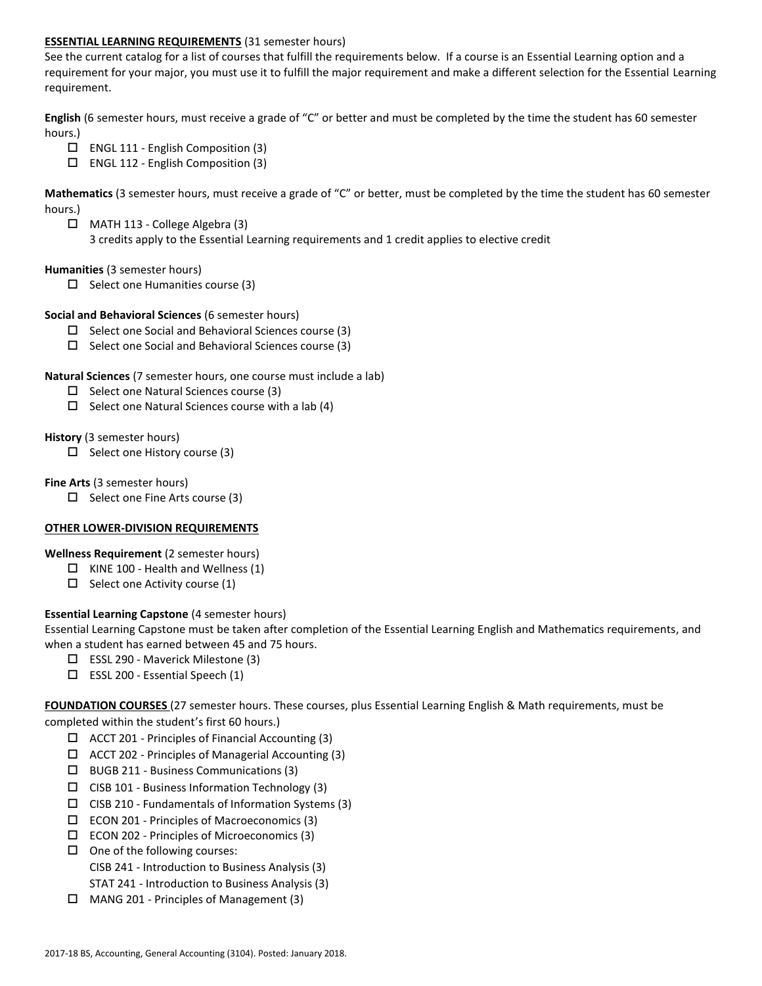### **ESSENTIAL LEARNING REQUIREMENTS** (31 semester hours)

See the current catalog for a list of courses that fulfill the requirements below. If a course is an Essential Learning option and a requirement for your major, you must use it to fulfill the major requirement and make a different selection for the Essential Learning requirement.

**English** (6 semester hours, must receive a grade of "C" or better and must be completed by the time the student has 60 semester hours.)

- $\Box$  ENGL 111 English Composition (3)
- $\Box$  ENGL 112 English Composition (3)

**Mathematics** (3 semester hours, must receive a grade of "C" or better, must be completed by the time the student has 60 semester hours.)

 MATH 113 - College Algebra (3) 3 credits apply to the Essential Learning requirements and 1 credit applies to elective credit

#### **Humanities** (3 semester hours)

 $\Box$  Select one Humanities course (3)

### **Social and Behavioral Sciences** (6 semester hours)

- $\Box$  Select one Social and Behavioral Sciences course (3)
- $\square$  Select one Social and Behavioral Sciences course (3)

#### **Natural Sciences** (7 semester hours, one course must include a lab)

- $\Box$  Select one Natural Sciences course (3)
- $\Box$  Select one Natural Sciences course with a lab (4)

#### **History** (3 semester hours)

 $\Box$  Select one History course (3)

#### **Fine Arts** (3 semester hours)

 $\Box$  Select one Fine Arts course (3)

# **OTHER LOWER-DIVISION REQUIREMENTS**

# **Wellness Requirement** (2 semester hours)

- $\Box$  KINE 100 Health and Wellness (1)
- $\Box$  Select one Activity course (1)

# **Essential Learning Capstone** (4 semester hours)

Essential Learning Capstone must be taken after completion of the Essential Learning English and Mathematics requirements, and when a student has earned between 45 and 75 hours.

- $\Box$  ESSL 290 Maverick Milestone (3)
- $\square$  ESSL 200 Essential Speech (1)

**FOUNDATION COURSES** (27 semester hours. These courses, plus Essential Learning English & Math requirements, must be completed within the student's first 60 hours.)

- $\Box$  ACCT 201 Principles of Financial Accounting (3)
- $\Box$  ACCT 202 Principles of Managerial Accounting (3)
- $\Box$  BUGB 211 Business Communications (3)
- $\square$  CISB 101 Business Information Technology (3)
- $\Box$  CISB 210 Fundamentals of Information Systems (3)
- ECON 201 Principles of Macroeconomics (3)
- ECON 202 Principles of Microeconomics (3)
- $\Box$  One of the following courses:
	- CISB 241 Introduction to Business Analysis (3)
	- STAT 241 Introduction to Business Analysis (3)
- $\Box$  MANG 201 Principles of Management (3)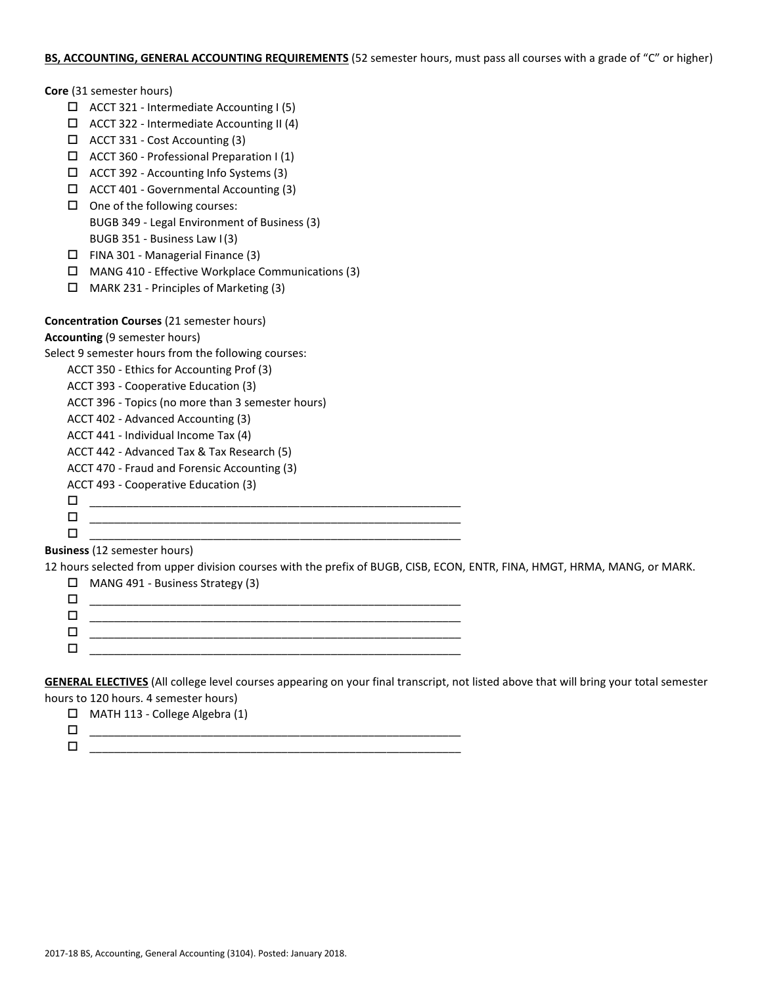# **BS, ACCOUNTING, GENERAL ACCOUNTING REQUIREMENTS** (52 semester hours, must pass all courses with a grade of "C" or higher)

|        | Core (31 semester hours)                                                                                                                                         |
|--------|------------------------------------------------------------------------------------------------------------------------------------------------------------------|
|        | $\Box$ ACCT 321 - Intermediate Accounting I (5)                                                                                                                  |
|        | ACCT 322 - Intermediate Accounting II (4)                                                                                                                        |
|        | ACCT 331 - Cost Accounting (3)                                                                                                                                   |
| □      | ACCT 360 - Professional Preparation I (1)                                                                                                                        |
| □      | ACCT 392 - Accounting Info Systems (3)                                                                                                                           |
| □      | ACCT 401 - Governmental Accounting (3)                                                                                                                           |
| $\Box$ | One of the following courses:                                                                                                                                    |
|        | BUGB 349 - Legal Environment of Business (3)                                                                                                                     |
|        | BUGB 351 - Business Law I(3)                                                                                                                                     |
| □      | FINA 301 - Managerial Finance (3)                                                                                                                                |
| □      | MANG 410 - Effective Workplace Communications (3)                                                                                                                |
| □      | MARK 231 - Principles of Marketing (3)                                                                                                                           |
|        |                                                                                                                                                                  |
|        | <b>Concentration Courses (21 semester hours)</b>                                                                                                                 |
|        | <b>Accounting (9 semester hours)</b>                                                                                                                             |
|        | Select 9 semester hours from the following courses:                                                                                                              |
|        | ACCT 350 - Ethics for Accounting Prof (3)                                                                                                                        |
|        | ACCT 393 - Cooperative Education (3)                                                                                                                             |
|        | ACCT 396 - Topics (no more than 3 semester hours)                                                                                                                |
|        | ACCT 402 - Advanced Accounting (3)                                                                                                                               |
|        | ACCT 441 - Individual Income Tax (4)                                                                                                                             |
|        | ACCT 442 - Advanced Tax & Tax Research (5)                                                                                                                       |
|        | ACCT 470 - Fraud and Forensic Accounting (3)                                                                                                                     |
|        | ACCT 493 - Cooperative Education (3)                                                                                                                             |
| $\Box$ |                                                                                                                                                                  |
| $\Box$ |                                                                                                                                                                  |
| □      |                                                                                                                                                                  |
|        | <b>Business</b> (12 semester hours)<br>12 hours selected from upper division courses with the prefix of BUGB, CISB, ECON, ENTR, FINA, HMGT, HRMA, MANG, or MARK. |

| Ш. | MANG 491 - Business Strategy (3) |
|----|----------------------------------|
|    |                                  |
|    |                                  |
|    |                                  |
|    |                                  |

**GENERAL ELECTIVES** (All college level courses appearing on your final transcript, not listed above that will bring your total semester hours to 120 hours. 4 semester hours)

| MATH 113 - College Algebra (1) |
|--------------------------------|
|                                |
|                                |